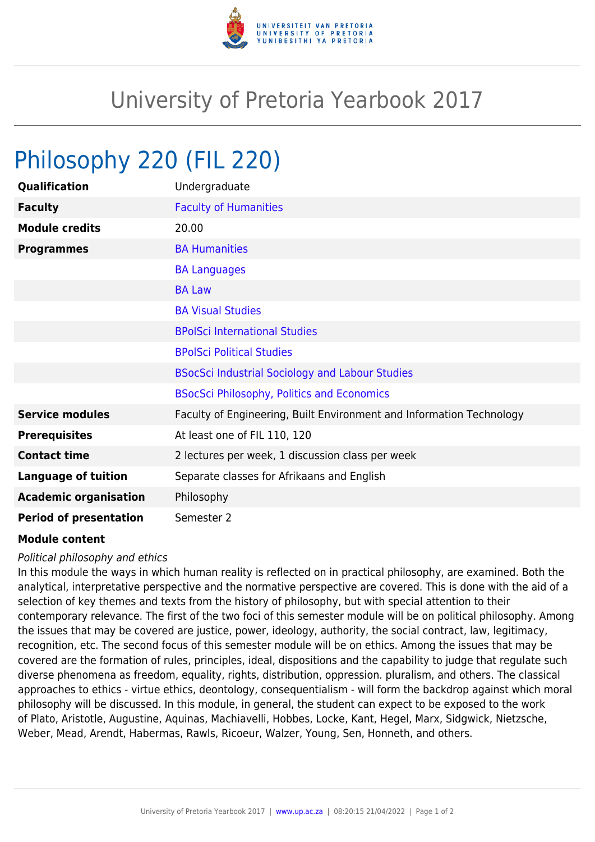

## University of Pretoria Yearbook 2017

## Philosophy 220 (FIL 220)

| Qualification                 | Undergraduate                                                        |
|-------------------------------|----------------------------------------------------------------------|
| <b>Faculty</b>                | <b>Faculty of Humanities</b>                                         |
| <b>Module credits</b>         | 20.00                                                                |
| <b>Programmes</b>             | <b>BA Humanities</b>                                                 |
|                               | <b>BA Languages</b>                                                  |
|                               | <b>BA Law</b>                                                        |
|                               | <b>BA Visual Studies</b>                                             |
|                               | <b>BPolSci International Studies</b>                                 |
|                               | <b>BPolSci Political Studies</b>                                     |
|                               | <b>BSocSci Industrial Sociology and Labour Studies</b>               |
|                               | <b>BSocSci Philosophy, Politics and Economics</b>                    |
| <b>Service modules</b>        | Faculty of Engineering, Built Environment and Information Technology |
| <b>Prerequisites</b>          | At least one of FIL 110, 120                                         |
| <b>Contact time</b>           | 2 lectures per week, 1 discussion class per week                     |
| <b>Language of tuition</b>    | Separate classes for Afrikaans and English                           |
| <b>Academic organisation</b>  | Philosophy                                                           |
| <b>Period of presentation</b> | Semester 2                                                           |

## **Module content**

## Political philosophy and ethics

In this module the ways in which human reality is reflected on in practical philosophy, are examined. Both the analytical, interpretative perspective and the normative perspective are covered. This is done with the aid of a selection of key themes and texts from the history of philosophy, but with special attention to their contemporary relevance. The first of the two foci of this semester module will be on political philosophy. Among the issues that may be covered are justice, power, ideology, authority, the social contract, law, legitimacy, recognition, etc. The second focus of this semester module will be on ethics. Among the issues that may be covered are the formation of rules, principles, ideal, dispositions and the capability to judge that regulate such diverse phenomena as freedom, equality, rights, distribution, oppression. pluralism, and others. The classical approaches to ethics - virtue ethics, deontology, consequentialism - will form the backdrop against which moral philosophy will be discussed. In this module, in general, the student can expect to be exposed to the work of Plato, Aristotle, Augustine, Aquinas, Machiavelli, Hobbes, Locke, Kant, Hegel, Marx, Sidgwick, Nietzsche, Weber, Mead, Arendt, Habermas, Rawls, Ricoeur, Walzer, Young, Sen, Honneth, and others.